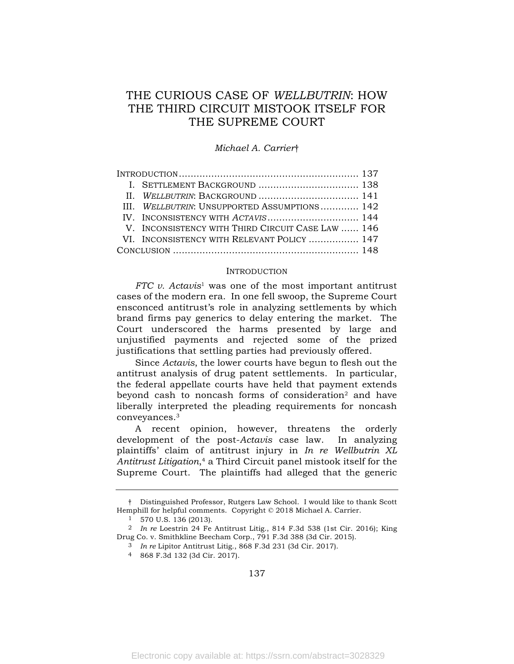# THE CURIOUS CASE OF *WELLBUTRIN*: HOW THE THIRD CIRCUIT MISTOOK ITSELF FOR THE SUPREME COURT

*Michael A. Carrier*†

|  | III. WELLBUTRIN: UNSUPPORTED ASSUMPTIONS 142      |  |
|--|---------------------------------------------------|--|
|  | IV. INCONSISTENCY WITH ACTAVIS 144                |  |
|  | V. INCONSISTENCY WITH THIRD CIRCUIT CASE LAW  146 |  |
|  | VI. INCONSISTENCY WITH RELEVANT POLICY  147       |  |
|  |                                                   |  |

#### INTRODUCTION

*FTC v. Actavis*<sup>1</sup> was one of the most important antitrust cases of the modern era. In one fell swoop, the Supreme Court ensconced antitrust's role in analyzing settlements by which brand firms pay generics to delay entering the market. The Court underscored the harms presented by large and unjustified payments and rejected some of the prized justifications that settling parties had previously offered.

Since *Actavis*, the lower courts have begun to flesh out the antitrust analysis of drug patent settlements. In particular, the federal appellate courts have held that payment extends beyond cash to noncash forms of consideration<sup>2</sup> and have liberally interpreted the pleading requirements for noncash conveyances.3

A recent opinion, however, threatens the orderly development of the post-*Actavis* case law. In analyzing plaintiffs' claim of antitrust injury in *In re Wellbutrin XL Antitrust Litigation*,4 a Third Circuit panel mistook itself for the Supreme Court. The plaintiffs had alleged that the generic

3 *In re* Lipitor Antitrust Litig., 868 F.3d 231 (3d Cir. 2017).

<sup>†</sup> Distinguished Professor, Rutgers Law School. I would like to thank Scott Hemphill for helpful comments. Copyright © 2018 Michael A. Carrier.

<sup>1</sup> 570 U.S. 136 (2013).

<sup>2</sup> *In re* Loestrin 24 Fe Antitrust Litig., 814 F.3d 538 (1st Cir. 2016); King Drug Co. v. Smithkline Beecham Corp., 791 F.3d 388 (3d Cir. 2015).

<sup>4</sup> 868 F.3d 132 (3d Cir. 2017).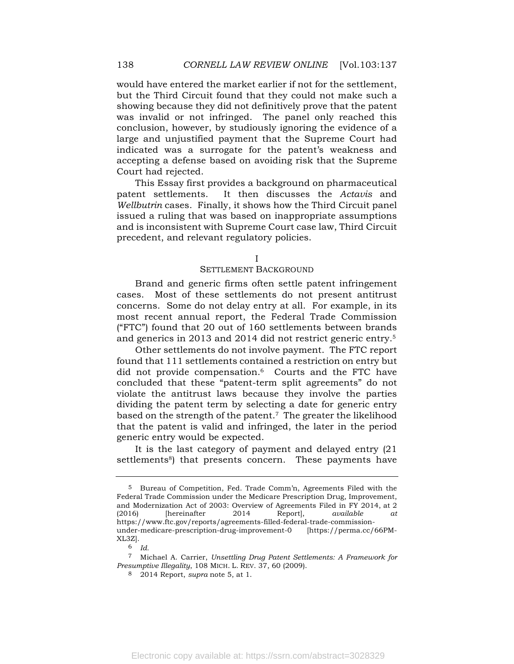would have entered the market earlier if not for the settlement, but the Third Circuit found that they could not make such a showing because they did not definitively prove that the patent was invalid or not infringed. The panel only reached this conclusion, however, by studiously ignoring the evidence of a large and unjustified payment that the Supreme Court had indicated was a surrogate for the patent's weakness and accepting a defense based on avoiding risk that the Supreme Court had rejected.

This Essay first provides a background on pharmaceutical patent settlements. It then discusses the *Actavis* and *Wellbutrin* cases. Finally, it shows how the Third Circuit panel issued a ruling that was based on inappropriate assumptions and is inconsistent with Supreme Court case law, Third Circuit precedent, and relevant regulatory policies.

#### I

# SETTLEMENT BACKGROUND

Brand and generic firms often settle patent infringement cases. Most of these settlements do not present antitrust concerns. Some do not delay entry at all. For example, in its most recent annual report, the Federal Trade Commission ("FTC") found that 20 out of 160 settlements between brands and generics in 2013 and 2014 did not restrict generic entry.5

Other settlements do not involve payment. The FTC report found that 111 settlements contained a restriction on entry but did not provide compensation.6 Courts and the FTC have concluded that these "patent-term split agreements" do not violate the antitrust laws because they involve the parties dividing the patent term by selecting a date for generic entry based on the strength of the patent.7 The greater the likelihood that the patent is valid and infringed, the later in the period generic entry would be expected.

It is the last category of payment and delayed entry (21 settlements<sup>8</sup>) that presents concern. These payments have

<sup>5</sup> Bureau of Competition, Fed. Trade Comm'n, Agreements Filed with the Federal Trade Commission under the Medicare Prescription Drug, Improvement, and Modernization Act of 2003: Overview of Agreements Filed in FY 2014, at 2 (2016) [hereinafter 2014 Report], *available at* https://www.ftc.gov/reports/agreements-filled-federal-trade-commissionunder-medicare-prescription-drug-improvement-0 [https://perma.cc/66PM-XL3Z].

<sup>6</sup> *Id.*

<sup>7</sup> Michael A. Carrier, *Unsettling Drug Patent Settlements: A Framework for Presumptive Illegality*, 108 MICH. L. REV. 37, 60 (2009).

<sup>8</sup> 2014 Report, *supra* note 5, at 1.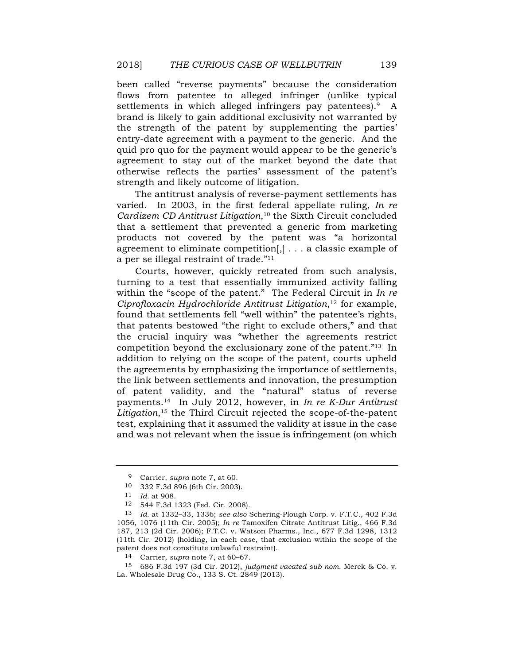been called "reverse payments" because the consideration flows from patentee to alleged infringer (unlike typical settlements in which alleged infringers pay patentees).<sup>9</sup> A brand is likely to gain additional exclusivity not warranted by the strength of the patent by supplementing the parties' entry-date agreement with a payment to the generic. And the quid pro quo for the payment would appear to be the generic's agreement to stay out of the market beyond the date that otherwise reflects the parties' assessment of the patent's strength and likely outcome of litigation.

The antitrust analysis of reverse-payment settlements has varied. In 2003, in the first federal appellate ruling, *In re*  Cardizem CD Antitrust Litigation,<sup>10</sup> the Sixth Circuit concluded that a settlement that prevented a generic from marketing products not covered by the patent was "a horizontal agreement to eliminate competition[,] . . . a classic example of a per se illegal restraint of trade."11

Courts, however, quickly retreated from such analysis, turning to a test that essentially immunized activity falling within the "scope of the patent." The Federal Circuit in *In re Ciprofloxacin Hydrochloride Antitrust Litigation*,<sup>12</sup> for example, found that settlements fell "well within" the patentee's rights, that patents bestowed "the right to exclude others," and that the crucial inquiry was "whether the agreements restrict competition beyond the exclusionary zone of the patent."13 In addition to relying on the scope of the patent, courts upheld the agreements by emphasizing the importance of settlements, the link between settlements and innovation, the presumption of patent validity, and the "natural" status of reverse payments.14 In July 2012, however, in *In re K-Dur Antitrust Litigation*,15 the Third Circuit rejected the scope-of-the-patent test, explaining that it assumed the validity at issue in the case and was not relevant when the issue is infringement (on which

<sup>9</sup> Carrier, *supra* note 7, at 60.

<sup>10</sup> 332 F.3d 896 (6th Cir. 2003).

<sup>11</sup> *Id.* at 908.

<sup>12</sup> 544 F.3d 1323 (Fed. Cir. 2008).

<sup>13</sup> *Id.* at 1332–33, 1336; *see also* Schering-Plough Corp. v. F.T.C., 402 F.3d 1056, 1076 (11th Cir. 2005); *In re* Tamoxifen Citrate Antitrust Litig., 466 F.3d 187, 213 (2d Cir. 2006); F.T.C. v. Watson Pharms., Inc., 677 F.3d 1298, 1312 (11th Cir. 2012) (holding, in each case, that exclusion within the scope of the patent does not constitute unlawful restraint).

<sup>14</sup> Carrier, *supra* note 7, at 60–67.

<sup>15</sup> 686 F.3d 197 (3d Cir. 2012), *judgment vacated sub nom*. Merck & Co. v. La. Wholesale Drug Co., 133 S. Ct. 2849 (2013).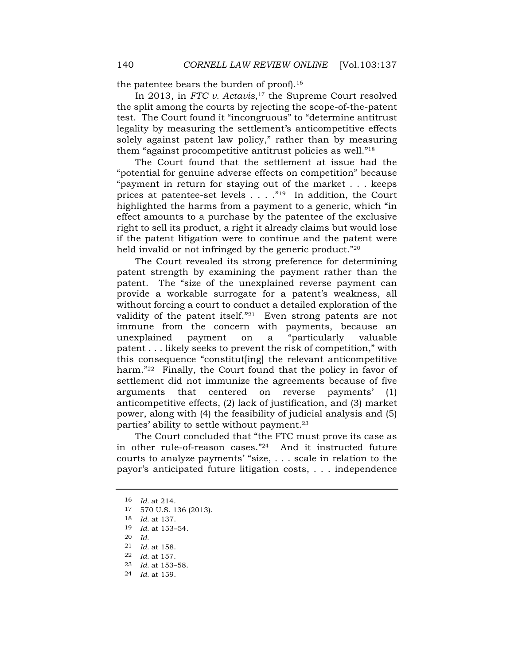the patentee bears the burden of proof).<sup>16</sup>

In 2013, in *FTC v. Actavis*,<sup>17</sup> the Supreme Court resolved the split among the courts by rejecting the scope-of-the-patent test. The Court found it "incongruous" to "determine antitrust legality by measuring the settlement's anticompetitive effects solely against patent law policy," rather than by measuring them "against procompetitive antitrust policies as well."18

The Court found that the settlement at issue had the "potential for genuine adverse effects on competition" because "payment in return for staying out of the market . . . keeps prices at patentee-set levels . . . ."19 In addition, the Court highlighted the harms from a payment to a generic, which "in effect amounts to a purchase by the patentee of the exclusive right to sell its product, a right it already claims but would lose if the patent litigation were to continue and the patent were held invalid or not infringed by the generic product."<sup>20</sup>

The Court revealed its strong preference for determining patent strength by examining the payment rather than the patent. The "size of the unexplained reverse payment can provide a workable surrogate for a patent's weakness, all without forcing a court to conduct a detailed exploration of the validity of the patent itself.<sup>"21</sup> Even strong patents are not immune from the concern with payments, because an unexplained payment on a "particularly valuable patent . . . likely seeks to prevent the risk of competition," with this consequence "constitut[ing] the relevant anticompetitive harm."<sup>22</sup> Finally, the Court found that the policy in favor of settlement did not immunize the agreements because of five arguments that centered on reverse payments' (1) anticompetitive effects, (2) lack of justification, and (3) market power, along with (4) the feasibility of judicial analysis and (5) parties' ability to settle without payment.23

The Court concluded that "the FTC must prove its case as in other rule-of-reason cases."24 And it instructed future courts to analyze payments' "size, . . . scale in relation to the payor's anticipated future litigation costs, . . . independence

<sup>16</sup> *Id.* at 214.

<sup>17</sup> 570 U.S. 136 (2013).

<sup>18</sup> *Id.* at 137.

<sup>19</sup> *Id.* at 153–54.

<sup>20</sup> *Id.*

<sup>21</sup> *Id.* at 158.

<sup>22</sup> *Id.* at 157.

<sup>23</sup> *Id.* at 153–58.

<sup>24</sup> *Id.* at 159.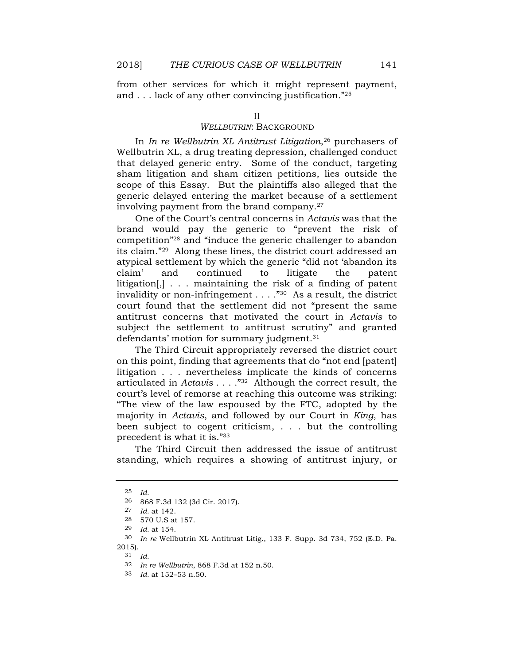from other services for which it might represent payment, and . . . lack of any other convincing justification."25

# *WELLBUTRIN*: BACKGROUND

In *In re Wellbutrin XL Antitrust Litigation*,<sup>26</sup> purchasers of Wellbutrin XL, a drug treating depression, challenged conduct that delayed generic entry. Some of the conduct, targeting sham litigation and sham citizen petitions, lies outside the scope of this Essay. But the plaintiffs also alleged that the generic delayed entering the market because of a settlement involving payment from the brand company.27

One of the Court's central concerns in *Actavis* was that the brand would pay the generic to "prevent the risk of competition"28 and "induce the generic challenger to abandon its claim."29 Along these lines, the district court addressed an atypical settlement by which the generic "did not 'abandon its claim' and continued to litigate the patent litigation[,] . . . maintaining the risk of a finding of patent invalidity or non-infringement . . . ."30 As a result, the district court found that the settlement did not "present the same antitrust concerns that motivated the court in *Actavis* to subject the settlement to antitrust scrutiny" and granted defendants' motion for summary judgment.31

The Third Circuit appropriately reversed the district court on this point, finding that agreements that do "not end [patent] litigation . . . nevertheless implicate the kinds of concerns articulated in *Actavis* . . . ."32 Although the correct result, the court's level of remorse at reaching this outcome was striking: "The view of the law espoused by the FTC, adopted by the majority in *Actavis*, and followed by our Court in *King*, has been subject to cogent criticism, . . . but the controlling precedent is what it is."33

The Third Circuit then addressed the issue of antitrust standing, which requires a showing of antitrust injury, or

<sup>25</sup> *Id.*

<sup>26</sup> 868 F.3d 132 (3d Cir. 2017).

<sup>27</sup> *Id.* at 142.

<sup>28</sup> 570 U.S at 157.

<sup>29</sup> *Id.* at 154.

<sup>30</sup> *In re* Wellbutrin XL Antitrust Litig., 133 F. Supp. 3d 734, 752 (E.D. Pa. 2015).

<sup>31</sup> *Id.*

<sup>32</sup> *In re Wellbutrin*, 868 F.3d at 152 n.50.

<sup>33</sup> *Id.* at 152–53 n.50.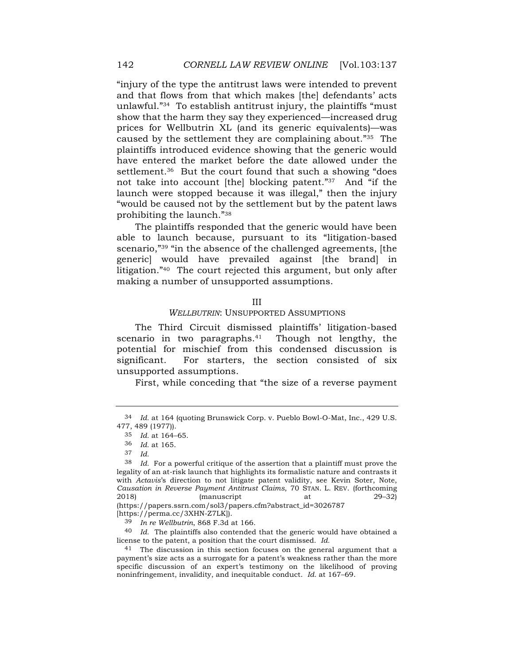"injury of the type the antitrust laws were intended to prevent and that flows from that which makes [the] defendants' acts unlawful."34 To establish antitrust injury, the plaintiffs "must show that the harm they say they experienced—increased drug prices for Wellbutrin XL (and its generic equivalents)—was caused by the settlement they are complaining about."35 The plaintiffs introduced evidence showing that the generic would have entered the market before the date allowed under the settlement.<sup>36</sup> But the court found that such a showing "does" not take into account [the] blocking patent."37 And "if the launch were stopped because it was illegal," then the injury "would be caused not by the settlement but by the patent laws prohibiting the launch."38

The plaintiffs responded that the generic would have been able to launch because, pursuant to its "litigation-based scenario,"<sup>39</sup> "in the absence of the challenged agreements, [the generic] would have prevailed against [the brand] in litigation."40 The court rejected this argument, but only after making a number of unsupported assumptions.

#### III

# *WELLBUTRIN*: UNSUPPORTED ASSUMPTIONS

The Third Circuit dismissed plaintiffs' litigation-based scenario in two paragraphs.<sup>41</sup> Though not lengthy, the potential for mischief from this condensed discussion is significant. For starters, the section consisted of six unsupported assumptions.

First, while conceding that "the size of a reverse payment

<sup>34</sup> *Id.* at 164 (quoting Brunswick Corp. v. Pueblo Bowl-O-Mat, Inc., 429 U.S. 477, 489 (1977)).

<sup>35</sup> *Id.* at 164–65.

<sup>36</sup> *Id.* at 165.

<sup>37</sup> *Id.*

<sup>38</sup> *Id.* For a powerful critique of the assertion that a plaintiff must prove the legality of an at-risk launch that highlights its formalistic nature and contrasts it with *Actavis*'s direction to not litigate patent validity, see Kevin Soter, Note, *Causation in Reverse Payment Antitrust Claims*, 70 STAN. L. REV. (forthcoming 2018) (manuscript at 29–32) (https://papers.ssrn.com/sol3/papers.cfm?abstract\_id=3026787

<sup>[</sup>https://perma.cc/3XHN-Z7LK]).

<sup>39</sup> *In re Wellbutrin*, 868 F.3d at 166.

<sup>40</sup> *Id.* The plaintiffs also contended that the generic would have obtained a license to the patent, a position that the court dismissed. *Id.*

<sup>41</sup> The discussion in this section focuses on the general argument that a payment's size acts as a surrogate for a patent's weakness rather than the more specific discussion of an expert's testimony on the likelihood of proving noninfringement, invalidity, and inequitable conduct. *Id.* at 167–69.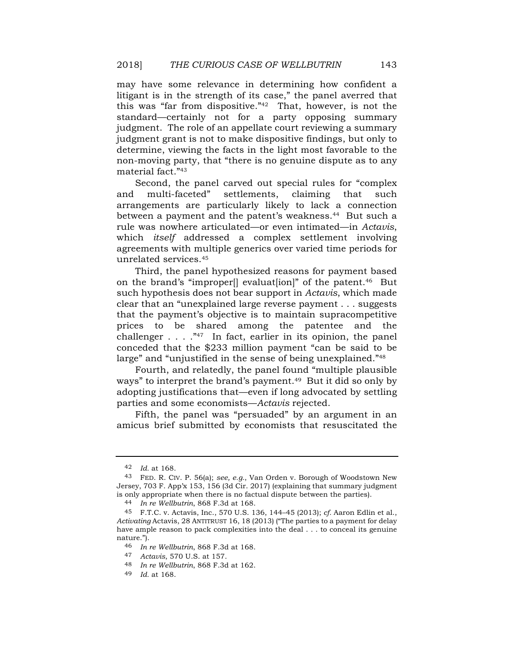may have some relevance in determining how confident a litigant is in the strength of its case," the panel averred that this was "far from dispositive."42 That, however, is not the standard—certainly not for a party opposing summary judgment. The role of an appellate court reviewing a summary judgment grant is not to make dispositive findings, but only to determine, viewing the facts in the light most favorable to the non-moving party, that "there is no genuine dispute as to any material fact."43

Second, the panel carved out special rules for "complex and multi-faceted" settlements, claiming that such arrangements are particularly likely to lack a connection between a payment and the patent's weakness.<sup>44</sup> But such a rule was nowhere articulated—or even intimated—in *Actavis*, which *itself* addressed a complex settlement involving agreements with multiple generics over varied time periods for unrelated services.45

Third, the panel hypothesized reasons for payment based on the brand's "improper[] evaluat[ion]" of the patent.46 But such hypothesis does not bear support in *Actavis*, which made clear that an "unexplained large reverse payment . . . suggests that the payment's objective is to maintain supracompetitive prices to be shared among the patentee and the challenger . . . ."47 In fact, earlier in its opinion, the panel conceded that the \$233 million payment "can be said to be large" and "unjustified in the sense of being unexplained."<sup>48</sup>

Fourth, and relatedly, the panel found "multiple plausible ways" to interpret the brand's payment.<sup>49</sup> But it did so only by adopting justifications that—even if long advocated by settling parties and some economists—*Actavis* rejected.

Fifth, the panel was "persuaded" by an argument in an amicus brief submitted by economists that resuscitated the

<sup>42</sup> *Id.* at 168.

<sup>43</sup> FED. R. CIV. P. 56(a); *see, e.g.*, Van Orden v. Borough of Woodstown New Jersey, 703 F. App'x 153, 156 (3d Cir. 2017) (explaining that summary judgment is only appropriate when there is no factual dispute between the parties).

<sup>44</sup> *In re Wellbutrin*, 868 F.3d at 168.

<sup>45</sup> F.T.C. v. Actavis, Inc., 570 U.S. 136, 144–45 (2013); *cf.* Aaron Edlin et al., *Activating* Actavis, 28 ANTITRUST 16, 18 (2013) ("The parties to a payment for delay have ample reason to pack complexities into the deal . . . to conceal its genuine nature.").

<sup>46</sup> *In re Wellbutrin*, 868 F.3d at 168.

<sup>47</sup> *Actavis*, 570 U.S. at 157.

<sup>48</sup> *In re Wellbutrin*, 868 F.3d at 162.

<sup>49</sup> *Id.* at 168.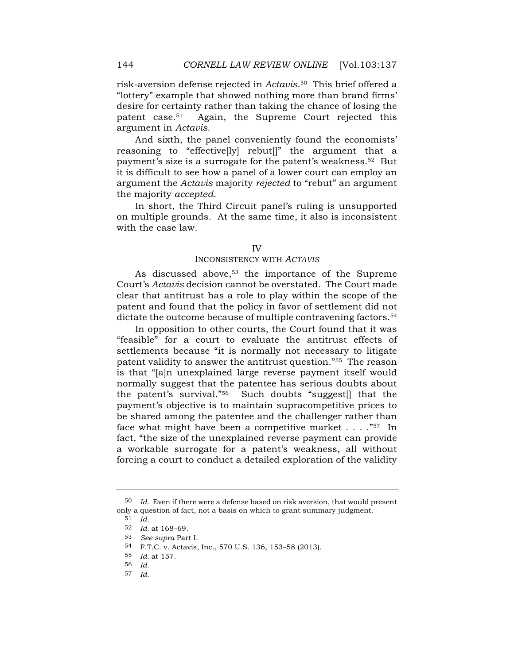risk-aversion defense rejected in *Actavis*.50 This brief offered a "lottery" example that showed nothing more than brand firms' desire for certainty rather than taking the chance of losing the patent case.51 Again, the Supreme Court rejected this argument in *Actavis*.

And sixth, the panel conveniently found the economists' reasoning to "effective[ly] rebut[]" the argument that a payment's size is a surrogate for the patent's weakness.52 But it is difficult to see how a panel of a lower court can employ an argument the *Actavis* majority *rejected* to "rebut" an argument the majority *accepted*.

In short, the Third Circuit panel's ruling is unsupported on multiple grounds. At the same time, it also is inconsistent with the case law.

#### IV

#### INCONSISTENCY WITH *ACTAVIS*

As discussed above, $53$  the importance of the Supreme Court's *Actavis* decision cannot be overstated. The Court made clear that antitrust has a role to play within the scope of the patent and found that the policy in favor of settlement did not dictate the outcome because of multiple contravening factors.<sup>54</sup>

In opposition to other courts, the Court found that it was "feasible" for a court to evaluate the antitrust effects of settlements because "it is normally not necessary to litigate patent validity to answer the antitrust question."55 The reason is that "[a]n unexplained large reverse payment itself would normally suggest that the patentee has serious doubts about the patent's survival."56 Such doubts "suggest[] that the payment's objective is to maintain supracompetitive prices to be shared among the patentee and the challenger rather than face what might have been a competitive market  $\ldots$ ."<sup>57</sup> In fact, "the size of the unexplained reverse payment can provide a workable surrogate for a patent's weakness, all without forcing a court to conduct a detailed exploration of the validity

57 *Id.*

<sup>50</sup> *Id.* Even if there were a defense based on risk aversion, that would present only a question of fact, not a basis on which to grant summary judgment.

<sup>51</sup> *Id.*

<sup>52</sup> *Id.* at 168–69.

<sup>53</sup> *See supra* Part I.

<sup>54</sup> F.T.C. v. Actavis, Inc., 570 U.S. 136, 153–58 (2013).

<sup>55</sup> *Id.* at 157.

<sup>56</sup> *Id.*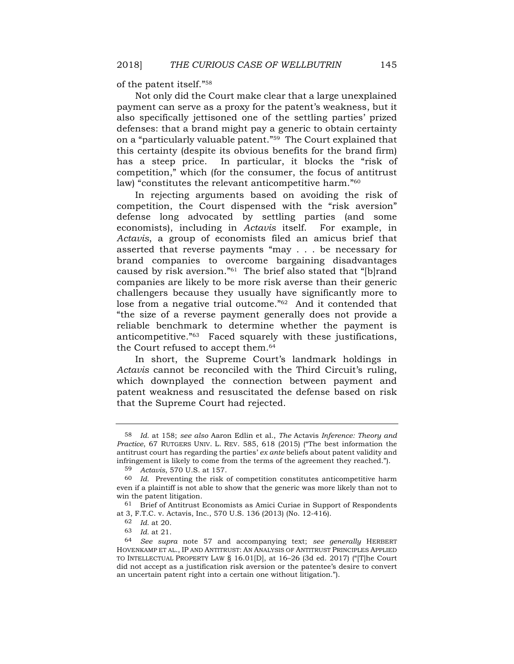of the patent itself."58

Not only did the Court make clear that a large unexplained payment can serve as a proxy for the patent's weakness, but it also specifically jettisoned one of the settling parties' prized defenses: that a brand might pay a generic to obtain certainty on a "particularly valuable patent."59 The Court explained that this certainty (despite its obvious benefits for the brand firm) has a steep price. In particular, it blocks the "risk of competition," which (for the consumer, the focus of antitrust law) "constitutes the relevant anticompetitive harm."60

In rejecting arguments based on avoiding the risk of competition, the Court dispensed with the "risk aversion" defense long advocated by settling parties (and some economists), including in *Actavis* itself. For example, in *Actavis*, a group of economists filed an amicus brief that asserted that reverse payments "may . . . be necessary for brand companies to overcome bargaining disadvantages caused by risk aversion."61 The brief also stated that "[b]rand companies are likely to be more risk averse than their generic challengers because they usually have significantly more to lose from a negative trial outcome."<sup>62</sup> And it contended that "the size of a reverse payment generally does not provide a reliable benchmark to determine whether the payment is anticompetitive."63 Faced squarely with these justifications, the Court refused to accept them.64

In short, the Supreme Court's landmark holdings in *Actavis* cannot be reconciled with the Third Circuit's ruling, which downplayed the connection between payment and patent weakness and resuscitated the defense based on risk that the Supreme Court had rejected.

<sup>58</sup> *Id.* at 158; *see also* Aaron Edlin et al., *The* Actavis *Inference: Theory and Practice*, 67 RUTGERS UNIV. L. REV. 585, 618 (2015) ("The best information the antitrust court has regarding the parties' *ex ante* beliefs about patent validity and infringement is likely to come from the terms of the agreement they reached.").

<sup>59</sup> *Actavis*, 570 U.S. at 157.

<sup>60</sup> *Id.* Preventing the risk of competition constitutes anticompetitive harm even if a plaintiff is not able to show that the generic was more likely than not to win the patent litigation.

<sup>61</sup> Brief of Antitrust Economists as Amici Curiae in Support of Respondents at 3, F.T.C. v. Actavis, Inc., 570 U.S. 136 (2013) (No. 12-416).

<sup>62</sup> *Id.* at 20.

<sup>63</sup> *Id.* at 21.

<sup>64</sup> *See supra* note 57 and accompanying text; *see generally* HERBERT HOVENKAMP ET AL., IP AND ANTITRUST: AN ANALYSIS OF ANTITRUST PRINCIPLES APPLIED TO INTELLECTUAL PROPERTY LAW § 16.01[D], at 16–26 (3d ed. 2017) ("[T]he Court did not accept as a justification risk aversion or the patentee's desire to convert an uncertain patent right into a certain one without litigation.").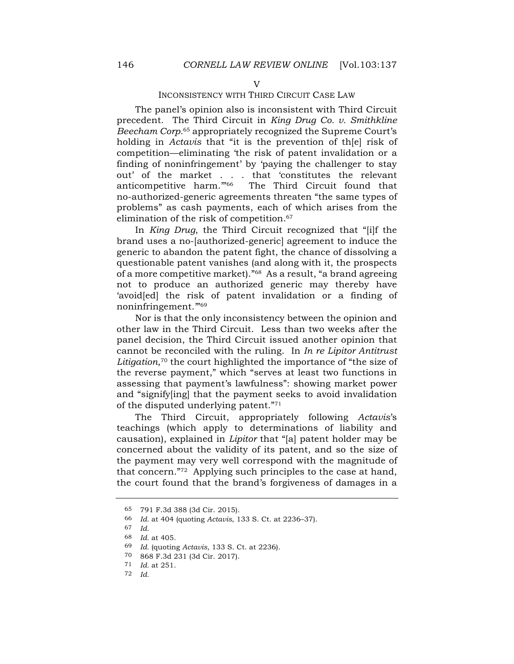INCONSISTENCY WITH THIRD CIRCUIT CASE LAW

The panel's opinion also is inconsistent with Third Circuit precedent. The Third Circuit in *King Drug Co. v. Smithkline Beecham Corp.*<sup>65</sup> appropriately recognized the Supreme Court's holding in *Actavis* that "it is the prevention of th[e] risk of competition—eliminating 'the risk of patent invalidation or a finding of noninfringement' by 'paying the challenger to stay out' of the market . . . that 'constitutes the relevant anticompetitive harm.'"66 The Third Circuit found that no-authorized-generic agreements threaten "the same types of problems" as cash payments, each of which arises from the elimination of the risk of competition.67

In *King Drug*, the Third Circuit recognized that "[i]f the brand uses a no-[authorized-generic] agreement to induce the generic to abandon the patent fight, the chance of dissolving a questionable patent vanishes (and along with it, the prospects of a more competitive market)."68 As a result, "a brand agreeing not to produce an authorized generic may thereby have 'avoid[ed] the risk of patent invalidation or a finding of noninfringement.'"69

Nor is that the only inconsistency between the opinion and other law in the Third Circuit. Less than two weeks after the panel decision, the Third Circuit issued another opinion that cannot be reconciled with the ruling. In *In re Lipitor Antitrust*  Litigation,<sup>70</sup> the court highlighted the importance of "the size of the reverse payment," which "serves at least two functions in assessing that payment's lawfulness": showing market power and "signify[ing] that the payment seeks to avoid invalidation of the disputed underlying patent."71

The Third Circuit, appropriately following *Actavis*'s teachings (which apply to determinations of liability and causation), explained in *Lipitor* that "[a] patent holder may be concerned about the validity of its patent, and so the size of the payment may very well correspond with the magnitude of that concern."72 Applying such principles to the case at hand, the court found that the brand's forgiveness of damages in a

<sup>65</sup> 791 F.3d 388 (3d Cir. 2015).

<sup>66</sup> *Id.* at 404 (quoting *Actavis*, 133 S. Ct. at 2236–37).

<sup>67</sup> *Id.*

<sup>68</sup> *Id.* at 405.

<sup>69</sup> *Id.* (quoting *Actavis*, 133 S. Ct. at 2236).

<sup>70</sup> 868 F.3d 231 (3d Cir. 2017).

<sup>71</sup> *Id.* at 251.

<sup>72</sup> *Id.*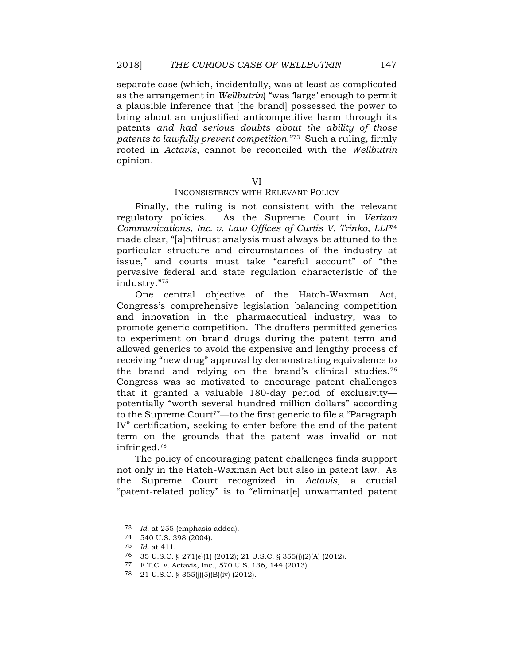separate case (which, incidentally, was at least as complicated as the arrangement in *Wellbutrin*) "was 'large' enough to permit a plausible inference that [the brand] possessed the power to bring about an unjustified anticompetitive harm through its patents *and had serious doubts about the ability of those patents to lawfully prevent competition*."73 Such a ruling, firmly rooted in *Actavis*, cannot be reconciled with the *Wellbutrin* opinion.

# VI

### INCONSISTENCY WITH RELEVANT POLICY

Finally, the ruling is not consistent with the relevant regulatory policies. As the Supreme Court in *Verizon Communications, Inc. v. Law Offices of Curtis V. Trinko, LLP*<sup>74</sup> made clear, "[a]ntitrust analysis must always be attuned to the particular structure and circumstances of the industry at issue," and courts must take "careful account" of "the pervasive federal and state regulation characteristic of the industry."75

One central objective of the Hatch-Waxman Act, Congress's comprehensive legislation balancing competition and innovation in the pharmaceutical industry, was to promote generic competition. The drafters permitted generics to experiment on brand drugs during the patent term and allowed generics to avoid the expensive and lengthy process of receiving "new drug" approval by demonstrating equivalence to the brand and relying on the brand's clinical studies.76 Congress was so motivated to encourage patent challenges that it granted a valuable 180-day period of exclusivity potentially "worth several hundred million dollars" according to the Supreme Court<sup>77</sup>—to the first generic to file a "Paragraph" IV" certification, seeking to enter before the end of the patent term on the grounds that the patent was invalid or not infringed.78

The policy of encouraging patent challenges finds support not only in the Hatch-Waxman Act but also in patent law. As the Supreme Court recognized in *Actavis*, a crucial "patent-related policy" is to "eliminat[e] unwarranted patent

<sup>73</sup> *Id.* at 255 (emphasis added).

<sup>74</sup> 540 U.S. 398 (2004).

<sup>75</sup> *Id.* at 411.

<sup>76</sup> 35 U.S.C. § 271(e)(1) (2012); 21 U.S.C. § 355(j)(2)(A) (2012).

<sup>77</sup> F.T.C. v. Actavis, Inc., 570 U.S. 136, 144 (2013).

<sup>78</sup> 21 U.S.C. § 355(j)(5)(B)(iv) (2012).